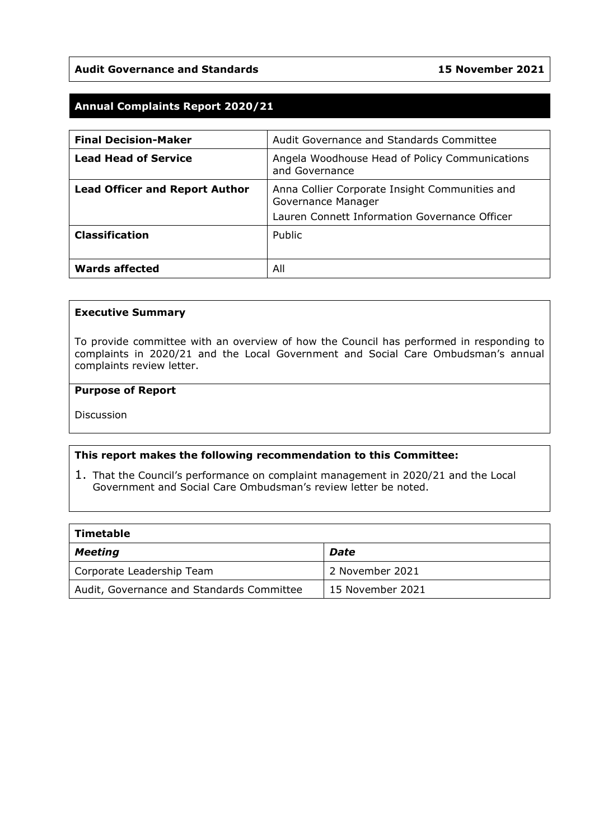#### **Audit Governance and Standards 15 November 2021**

## **Annual Complaints Report 2020/21**

| <b>Final Decision-Maker</b>           | Audit Governance and Standards Committee                             |
|---------------------------------------|----------------------------------------------------------------------|
| <b>Lead Head of Service</b>           | Angela Woodhouse Head of Policy Communications<br>and Governance     |
| <b>Lead Officer and Report Author</b> | Anna Collier Corporate Insight Communities and<br>Governance Manager |
|                                       | Lauren Connett Information Governance Officer                        |
| <b>Classification</b>                 | Public                                                               |
| <b>Wards affected</b>                 | All                                                                  |

#### **Executive Summary**

To provide committee with an overview of how the Council has performed in responding to complaints in 2020/21 and the Local Government and Social Care Ombudsman's annual complaints review letter.

#### **Purpose of Report**

**Discussion** 

#### **This report makes the following recommendation to this Committee:**

1. That the Council's performance on complaint management in 2020/21 and the Local Government and Social Care Ombudsman's review letter be noted.

| Timetable                                 |                  |
|-------------------------------------------|------------------|
| Meeting                                   | Date             |
| Corporate Leadership Team                 | 2 November 2021  |
| Audit, Governance and Standards Committee | 15 November 2021 |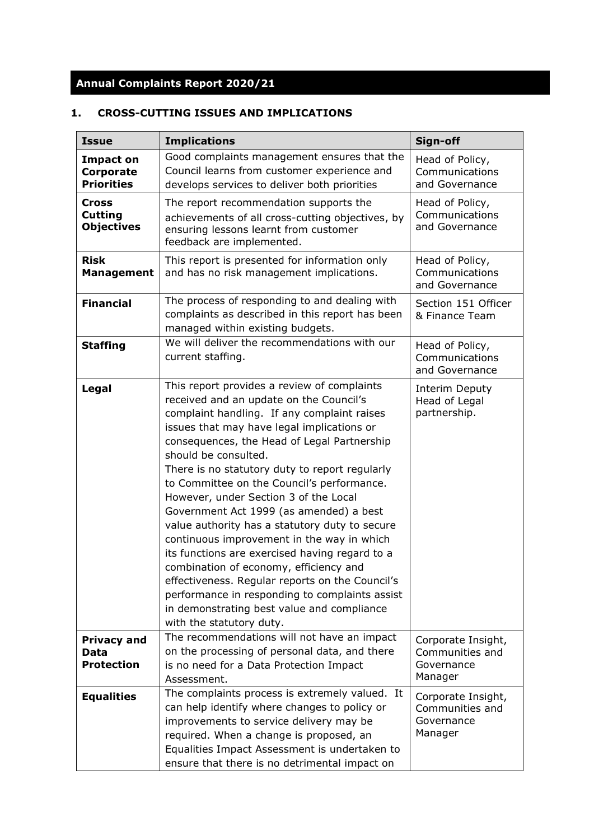# **Annual Complaints Report 2020/21**

# **1. CROSS-CUTTING ISSUES AND IMPLICATIONS**

| <b>Issue</b>                                        | <b>Implications</b>                                                                                                                                                                                                                                                                                                                                                                                                                                                                                                                                                                                                                                                                                                                                                                                                       | Sign-off                                                       |
|-----------------------------------------------------|---------------------------------------------------------------------------------------------------------------------------------------------------------------------------------------------------------------------------------------------------------------------------------------------------------------------------------------------------------------------------------------------------------------------------------------------------------------------------------------------------------------------------------------------------------------------------------------------------------------------------------------------------------------------------------------------------------------------------------------------------------------------------------------------------------------------------|----------------------------------------------------------------|
| <b>Impact on</b><br>Corporate<br><b>Priorities</b>  | Good complaints management ensures that the<br>Council learns from customer experience and<br>develops services to deliver both priorities                                                                                                                                                                                                                                                                                                                                                                                                                                                                                                                                                                                                                                                                                | Head of Policy,<br>Communications<br>and Governance            |
| <b>Cross</b><br><b>Cutting</b><br><b>Objectives</b> | The report recommendation supports the<br>achievements of all cross-cutting objectives, by<br>ensuring lessons learnt from customer<br>feedback are implemented.                                                                                                                                                                                                                                                                                                                                                                                                                                                                                                                                                                                                                                                          | Head of Policy,<br>Communications<br>and Governance            |
| <b>Risk</b><br><b>Management</b>                    | This report is presented for information only<br>and has no risk management implications.                                                                                                                                                                                                                                                                                                                                                                                                                                                                                                                                                                                                                                                                                                                                 | Head of Policy,<br>Communications<br>and Governance            |
| <b>Financial</b>                                    | The process of responding to and dealing with<br>complaints as described in this report has been<br>managed within existing budgets.                                                                                                                                                                                                                                                                                                                                                                                                                                                                                                                                                                                                                                                                                      | Section 151 Officer<br>& Finance Team                          |
| <b>Staffing</b>                                     | We will deliver the recommendations with our<br>current staffing.                                                                                                                                                                                                                                                                                                                                                                                                                                                                                                                                                                                                                                                                                                                                                         | Head of Policy,<br>Communications<br>and Governance            |
| Legal                                               | This report provides a review of complaints<br>received and an update on the Council's<br>complaint handling. If any complaint raises<br>issues that may have legal implications or<br>consequences, the Head of Legal Partnership<br>should be consulted.<br>There is no statutory duty to report regularly<br>to Committee on the Council's performance.<br>However, under Section 3 of the Local<br>Government Act 1999 (as amended) a best<br>value authority has a statutory duty to secure<br>continuous improvement in the way in which<br>its functions are exercised having regard to a<br>combination of economy, efficiency and<br>effectiveness. Regular reports on the Council's<br>performance in responding to complaints assist<br>in demonstrating best value and compliance<br>with the statutory duty. | Interim Deputy<br>Head of Legal<br>partnership.                |
| <b>Privacy and</b><br>Data<br><b>Protection</b>     | The recommendations will not have an impact<br>on the processing of personal data, and there<br>is no need for a Data Protection Impact<br>Assessment.                                                                                                                                                                                                                                                                                                                                                                                                                                                                                                                                                                                                                                                                    | Corporate Insight,<br>Communities and<br>Governance<br>Manager |
| <b>Equalities</b>                                   | The complaints process is extremely valued. It<br>can help identify where changes to policy or<br>improvements to service delivery may be<br>required. When a change is proposed, an<br>Equalities Impact Assessment is undertaken to<br>ensure that there is no detrimental impact on                                                                                                                                                                                                                                                                                                                                                                                                                                                                                                                                    | Corporate Insight,<br>Communities and<br>Governance<br>Manager |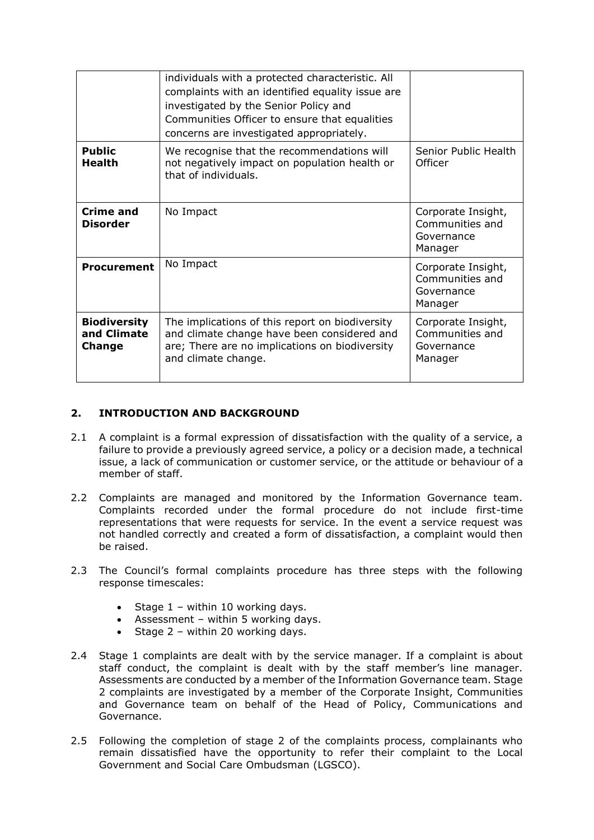|                                              | individuals with a protected characteristic. All<br>complaints with an identified equality issue are<br>investigated by the Senior Policy and<br>Communities Officer to ensure that equalities<br>concerns are investigated appropriately. |                                                                |
|----------------------------------------------|--------------------------------------------------------------------------------------------------------------------------------------------------------------------------------------------------------------------------------------------|----------------------------------------------------------------|
| <b>Public</b><br><b>Health</b>               | We recognise that the recommendations will<br>not negatively impact on population health or<br>that of individuals.                                                                                                                        | Senior Public Health<br>Officer                                |
| Crime and<br>Disorder                        | No Impact                                                                                                                                                                                                                                  | Corporate Insight,<br>Communities and<br>Governance<br>Manager |
| Procurement                                  | No Impact                                                                                                                                                                                                                                  | Corporate Insight,<br>Communities and<br>Governance<br>Manager |
| <b>Biodiversity</b><br>and Climate<br>Change | The implications of this report on biodiversity<br>and climate change have been considered and<br>are; There are no implications on biodiversity<br>and climate change.                                                                    | Corporate Insight,<br>Communities and<br>Governance<br>Manager |

### **2. INTRODUCTION AND BACKGROUND**

- 2.1 A complaint is a formal expression of dissatisfaction with the quality of a service, a failure to provide a previously agreed service, a policy or a decision made, a technical issue, a lack of communication or customer service, or the attitude or behaviour of a member of staff.
- 2.2 Complaints are managed and monitored by the Information Governance team. Complaints recorded under the formal procedure do not include first-time representations that were requests for service. In the event a service request was not handled correctly and created a form of dissatisfaction, a complaint would then be raised.
- 2.3 The Council's formal complaints procedure has three steps with the following response timescales:
	- Stage  $1$  within 10 working days.
	- Assessment within 5 working days.
	- Stage 2 within 20 working days.
- 2.4 Stage 1 complaints are dealt with by the service manager. If a complaint is about staff conduct, the complaint is dealt with by the staff member's line manager. Assessments are conducted by a member of the Information Governance team. Stage 2 complaints are investigated by a member of the Corporate Insight, Communities and Governance team on behalf of the Head of Policy, Communications and Governance.
- 2.5 Following the completion of stage 2 of the complaints process, complainants who remain dissatisfied have the opportunity to refer their complaint to the Local Government and Social Care Ombudsman (LGSCO).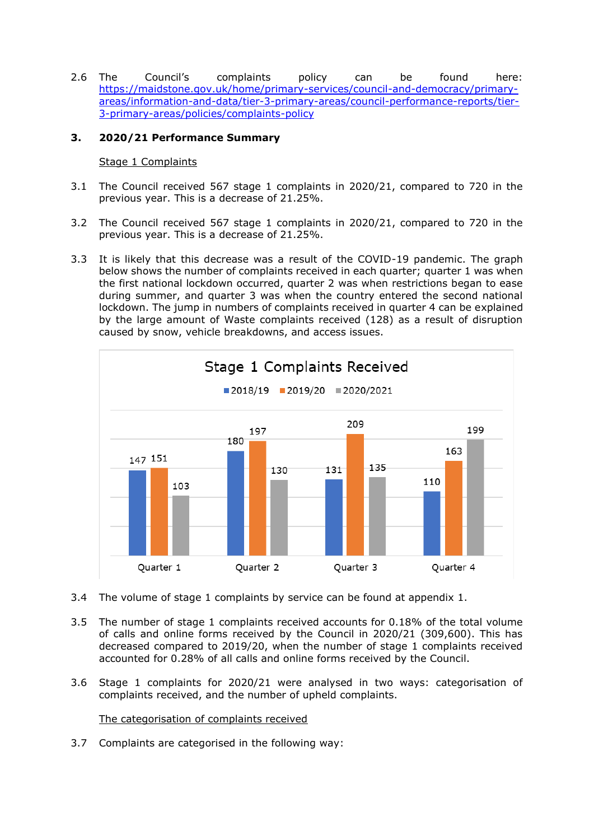2.6 The Council's complaints policy can be found here: [https://maidstone.gov.uk/home/primary-services/council-and-democracy/primary](https://maidstone.gov.uk/home/primary-services/council-and-democracy/primary-areas/information-and-data/tier-3-primary-areas/council-performance-reports/tier-3-primary-areas/policies/complaints-policy)[areas/information-and-data/tier-3-primary-areas/council-performance-reports/tier-](https://maidstone.gov.uk/home/primary-services/council-and-democracy/primary-areas/information-and-data/tier-3-primary-areas/council-performance-reports/tier-3-primary-areas/policies/complaints-policy)[3-primary-areas/policies/complaints-policy](https://maidstone.gov.uk/home/primary-services/council-and-democracy/primary-areas/information-and-data/tier-3-primary-areas/council-performance-reports/tier-3-primary-areas/policies/complaints-policy)

### **3. 2020/21 Performance Summary**

#### Stage 1 Complaints

- 3.1 The Council received 567 stage 1 complaints in 2020/21, compared to 720 in the previous year. This is a decrease of 21.25%.
- 3.2 The Council received 567 stage 1 complaints in 2020/21, compared to 720 in the previous year. This is a decrease of 21.25%.
- 3.3 It is likely that this decrease was a result of the COVID-19 pandemic. The graph below shows the number of complaints received in each quarter; quarter 1 was when the first national lockdown occurred, quarter 2 was when restrictions began to ease during summer, and quarter 3 was when the country entered the second national lockdown. The jump in numbers of complaints received in quarter 4 can be explained by the large amount of Waste complaints received (128) as a result of disruption caused by snow, vehicle breakdowns, and access issues.



- 3.4 The volume of stage 1 complaints by service can be found at appendix 1.
- 3.5 The number of stage 1 complaints received accounts for 0.18% of the total volume of calls and online forms received by the Council in 2020/21 (309,600). This has decreased compared to 2019/20, when the number of stage 1 complaints received accounted for 0.28% of all calls and online forms received by the Council.
- 3.6 Stage 1 complaints for 2020/21 were analysed in two ways: categorisation of complaints received, and the number of upheld complaints.

The categorisation of complaints received

3.7 Complaints are categorised in the following way: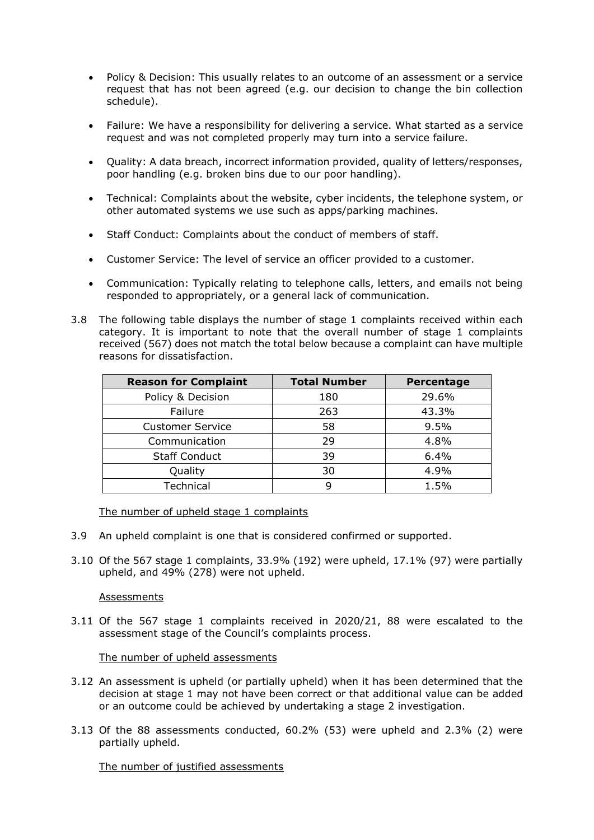- Policy & Decision: This usually relates to an outcome of an assessment or a service request that has not been agreed (e.g. our decision to change the bin collection schedule).
- Failure: We have a responsibility for delivering a service. What started as a service request and was not completed properly may turn into a service failure.
- Quality: A data breach, incorrect information provided, quality of letters/responses, poor handling (e.g. broken bins due to our poor handling).
- Technical: Complaints about the website, cyber incidents, the telephone system, or other automated systems we use such as apps/parking machines.
- Staff Conduct: Complaints about the conduct of members of staff.
- Customer Service: The level of service an officer provided to a customer.
- Communication: Typically relating to telephone calls, letters, and emails not being responded to appropriately, or a general lack of communication.
- 3.8 The following table displays the number of stage 1 complaints received within each category. It is important to note that the overall number of stage 1 complaints received (567) does not match the total below because a complaint can have multiple reasons for dissatisfaction.

| <b>Reason for Complaint</b> | <b>Total Number</b> | Percentage |
|-----------------------------|---------------------|------------|
| Policy & Decision           | 180                 | 29.6%      |
| Failure                     | 263                 | 43.3%      |
| <b>Customer Service</b>     | 58                  | 9.5%       |
| Communication               | 29                  | 4.8%       |
| <b>Staff Conduct</b>        | 39                  | 6.4%       |
| Quality                     | 30                  | 4.9%       |
| Technical                   | q                   | 1.5%       |

The number of upheld stage 1 complaints

- 3.9 An upheld complaint is one that is considered confirmed or supported.
- 3.10 Of the 567 stage 1 complaints, 33.9% (192) were upheld, 17.1% (97) were partially upheld, and 49% (278) were not upheld.

#### **Assessments**

3.11 Of the 567 stage 1 complaints received in 2020/21, 88 were escalated to the assessment stage of the Council's complaints process.

#### The number of upheld assessments

- 3.12 An assessment is upheld (or partially upheld) when it has been determined that the decision at stage 1 may not have been correct or that additional value can be added or an outcome could be achieved by undertaking a stage 2 investigation.
- 3.13 Of the 88 assessments conducted, 60.2% (53) were upheld and 2.3% (2) were partially upheld.

The number of justified assessments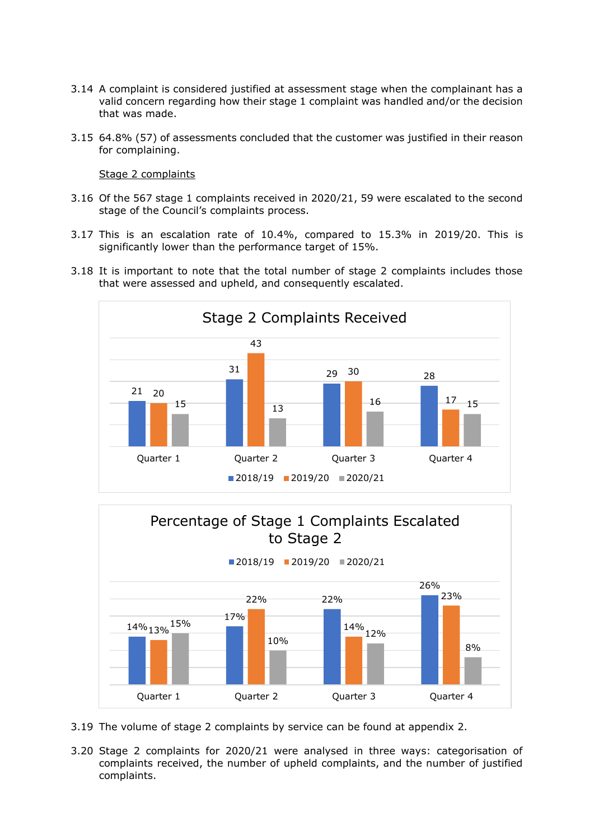- 3.14 A complaint is considered justified at assessment stage when the complainant has a valid concern regarding how their stage 1 complaint was handled and/or the decision that was made.
- 3.15 64.8% (57) of assessments concluded that the customer was justified in their reason for complaining.

#### Stage 2 complaints

- 3.16 Of the 567 stage 1 complaints received in 2020/21, 59 were escalated to the second stage of the Council's complaints process.
- 3.17 This is an escalation rate of 10.4%, compared to 15.3% in 2019/20. This is significantly lower than the performance target of 15%.
- 3.18 It is important to note that the total number of stage 2 complaints includes those that were assessed and upheld, and consequently escalated.





- 3.19 The volume of stage 2 complaints by service can be found at appendix 2.
- 3.20 Stage 2 complaints for 2020/21 were analysed in three ways: categorisation of complaints received, the number of upheld complaints, and the number of justified complaints.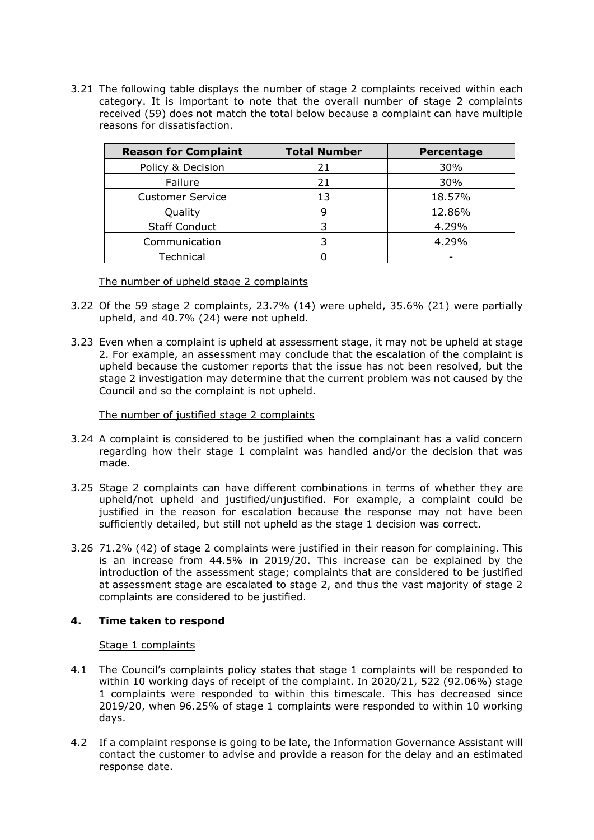3.21 The following table displays the number of stage 2 complaints received within each category. It is important to note that the overall number of stage 2 complaints received (59) does not match the total below because a complaint can have multiple reasons for dissatisfaction.

| <b>Reason for Complaint</b> | <b>Total Number</b> | Percentage |
|-----------------------------|---------------------|------------|
| Policy & Decision           | 21                  | 30%        |
| Failure                     | 21                  | 30%        |
| <b>Customer Service</b>     | 13                  | 18.57%     |
| Quality                     |                     | 12.86%     |
| <b>Staff Conduct</b>        |                     | 4.29%      |
| Communication               |                     | 4.29%      |
| Technical                   |                     |            |

The number of upheld stage 2 complaints

- 3.22 Of the 59 stage 2 complaints, 23.7% (14) were upheld, 35.6% (21) were partially upheld, and 40.7% (24) were not upheld.
- 3.23 Even when a complaint is upheld at assessment stage, it may not be upheld at stage 2. For example, an assessment may conclude that the escalation of the complaint is upheld because the customer reports that the issue has not been resolved, but the stage 2 investigation may determine that the current problem was not caused by the Council and so the complaint is not upheld.

#### The number of justified stage 2 complaints

- 3.24 A complaint is considered to be justified when the complainant has a valid concern regarding how their stage 1 complaint was handled and/or the decision that was made.
- 3.25 Stage 2 complaints can have different combinations in terms of whether they are upheld/not upheld and justified/unjustified. For example, a complaint could be justified in the reason for escalation because the response may not have been sufficiently detailed, but still not upheld as the stage 1 decision was correct.
- 3.26 71.2% (42) of stage 2 complaints were justified in their reason for complaining. This is an increase from 44.5% in 2019/20. This increase can be explained by the introduction of the assessment stage; complaints that are considered to be justified at assessment stage are escalated to stage 2, and thus the vast majority of stage 2 complaints are considered to be justified.

#### **4. Time taken to respond**

#### Stage 1 complaints

- 4.1 The Council's complaints policy states that stage 1 complaints will be responded to within 10 working days of receipt of the complaint. In 2020/21, 522 (92.06%) stage 1 complaints were responded to within this timescale. This has decreased since 2019/20, when 96.25% of stage 1 complaints were responded to within 10 working days.
- 4.2 If a complaint response is going to be late, the Information Governance Assistant will contact the customer to advise and provide a reason for the delay and an estimated response date.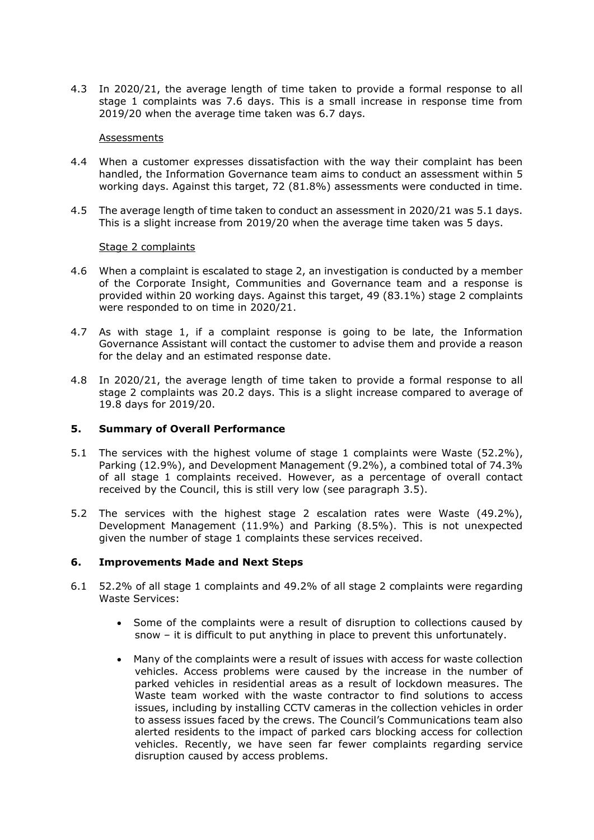4.3 In 2020/21, the average length of time taken to provide a formal response to all stage 1 complaints was 7.6 days. This is a small increase in response time from 2019/20 when the average time taken was 6.7 days.

#### **Assessments**

- 4.4 When a customer expresses dissatisfaction with the way their complaint has been handled, the Information Governance team aims to conduct an assessment within 5 working days. Against this target, 72 (81.8%) assessments were conducted in time.
- 4.5 The average length of time taken to conduct an assessment in 2020/21 was 5.1 days. This is a slight increase from 2019/20 when the average time taken was 5 days.

#### Stage 2 complaints

- 4.6 When a complaint is escalated to stage 2, an investigation is conducted by a member of the Corporate Insight, Communities and Governance team and a response is provided within 20 working days. Against this target, 49 (83.1%) stage 2 complaints were responded to on time in 2020/21.
- 4.7 As with stage 1, if a complaint response is going to be late, the Information Governance Assistant will contact the customer to advise them and provide a reason for the delay and an estimated response date.
- 4.8 In 2020/21, the average length of time taken to provide a formal response to all stage 2 complaints was 20.2 days. This is a slight increase compared to average of 19.8 days for 2019/20.

#### **5. Summary of Overall Performance**

- 5.1 The services with the highest volume of stage 1 complaints were Waste (52.2%), Parking (12.9%), and Development Management (9.2%), a combined total of 74.3% of all stage 1 complaints received. However, as a percentage of overall contact received by the Council, this is still very low (see paragraph 3.5).
- 5.2 The services with the highest stage 2 escalation rates were Waste (49.2%), Development Management (11.9%) and Parking (8.5%). This is not unexpected given the number of stage 1 complaints these services received.

#### **6. Improvements Made and Next Steps**

- 6.1 52.2% of all stage 1 complaints and 49.2% of all stage 2 complaints were regarding Waste Services:
	- Some of the complaints were a result of disruption to collections caused by snow – it is difficult to put anything in place to prevent this unfortunately.
	- Many of the complaints were a result of issues with access for waste collection vehicles. Access problems were caused by the increase in the number of parked vehicles in residential areas as a result of lockdown measures. The Waste team worked with the waste contractor to find solutions to access issues, including by installing CCTV cameras in the collection vehicles in order to assess issues faced by the crews. The Council's Communications team also alerted residents to the impact of parked cars blocking access for collection vehicles. Recently, we have seen far fewer complaints regarding service disruption caused by access problems.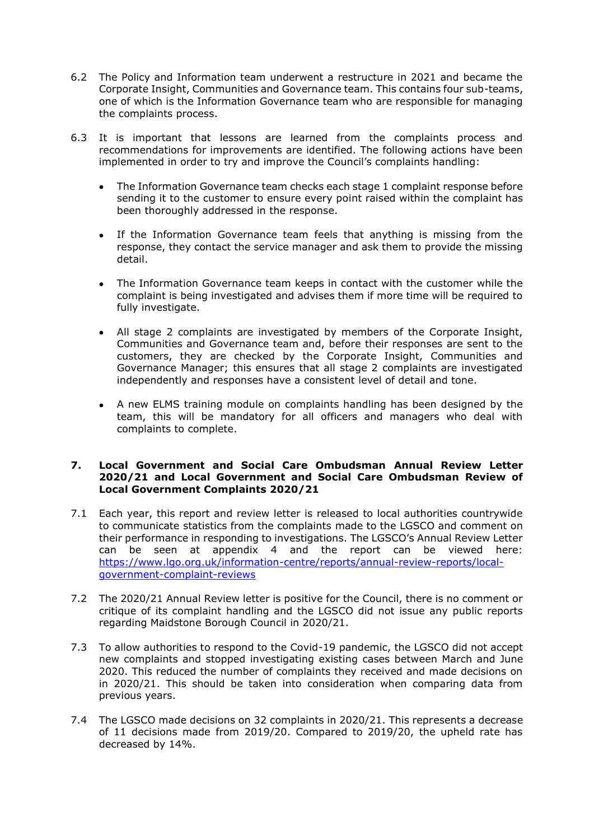- 6.2 The Policy and Information team underwent a restructure in 2021 and became the Corporate Insight, Communities and Governance team. This contains four sub-teams, one of which is the Information Governance team who are responsible for managing the complaints process.
- 6.3 It is important that lessons are learned from the complaints process and recommendations for improvements are identified. The following actions have been implemented in order to try and improve the Council's complaints handling:
	- The Information Governance team checks each stage 1 complaint response before sending it to the customer to ensure every point raised within the complaint has been thoroughly addressed in the response.
	- If the Information Governance team feels that anything is missing from the response, they contact the service manager and ask them to provide the missing detail.
	- The Information Governance team keeps in contact with the customer while the complaint is being investigated and advises them if more time will be required to fully investigate.
	- All stage 2 complaints are investigated by members of the Corporate Insight, Communities and Governance team and, before their responses are sent to the customers, they are checked by the Corporate Insight, Communities and Governance Manager; this ensures that all stage 2 complaints are investigated independently and responses have a consistent level of detail and tone.
	- A new ELMS training module on complaints handling has been designed by the team, this will be mandatory for all officers and managers who deal with complaints to complete.

#### **7. Local Government and Social Care Ombudsman Annual Review Letter 2020/21 and Local Government and Social Care Ombudsman Review of Local Government Complaints 2020/21**

- 7.1 Each year, this report and review letter is released to local authorities countrywide to communicate statistics from the complaints made to the LGSCO and comment on their performance in responding to investigations. The LGSCO's Annual Review Letter can be seen at appendix 4 and the report can be viewed here: [https://www.lgo.org.uk/information-centre/reports/annual-review-reports/local](https://www.lgo.org.uk/information-centre/reports/annual-review-reports/local-government-complaint-reviews)[government-complaint-reviews](https://www.lgo.org.uk/information-centre/reports/annual-review-reports/local-government-complaint-reviews)
- 7.2 The 2020/21 Annual Review letter is positive for the Council, there is no comment or critique of its complaint handling and the LGSCO did not issue any public reports regarding Maidstone Borough Council in 2020/21.
- 7.3 To allow authorities to respond to the Covid-19 pandemic, the LGSCO did not accept new complaints and stopped investigating existing cases between March and June 2020. This reduced the number of complaints they received and made decisions on in 2020/21. This should be taken into consideration when comparing data from previous years.
- 7.4 The LGSCO made decisions on 32 complaints in 2020/21. This represents a decrease of 11 decisions made from 2019/20. Compared to 2019/20, the upheld rate has decreased by 14%.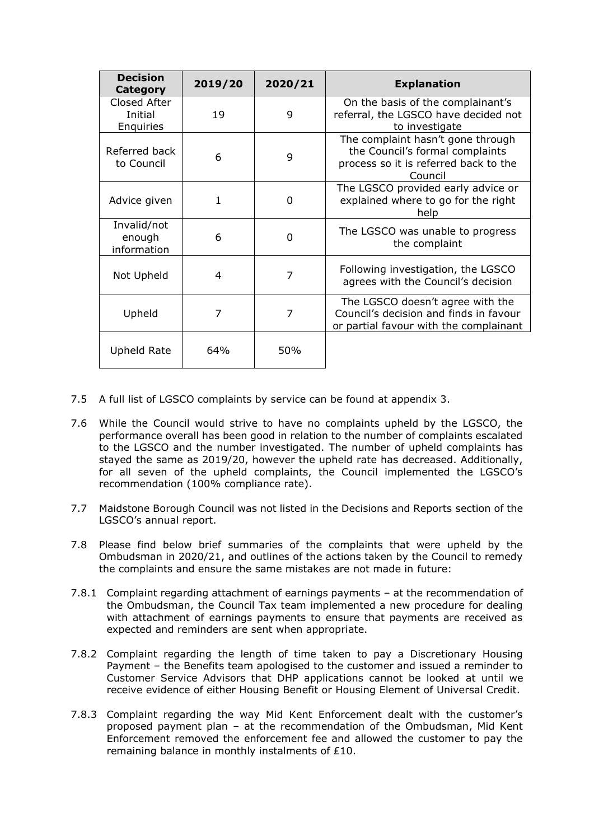| <b>Decision</b><br><b>Category</b>   | 2019/20 | 2020/21 | <b>Explanation</b>                                                                                                       |
|--------------------------------------|---------|---------|--------------------------------------------------------------------------------------------------------------------------|
| Closed After<br>Initial<br>Enquiries | 19      | 9       | On the basis of the complainant's<br>referral, the LGSCO have decided not<br>to investigate                              |
| Referred back<br>to Council          | 6       | 9       | The complaint hasn't gone through<br>the Council's formal complaints<br>process so it is referred back to the<br>Council |
| Advice given                         | 1       | O       | The LGSCO provided early advice or<br>explained where to go for the right<br>help                                        |
| Invalid/not<br>enough<br>information | 6       | 0       | The LGSCO was unable to progress<br>the complaint                                                                        |
| Not Upheld                           | 4       | 7       | Following investigation, the LGSCO<br>agrees with the Council's decision                                                 |
| Upheld                               | 7       | 7       | The LGSCO doesn't agree with the<br>Council's decision and finds in favour<br>or partial favour with the complainant     |
| Upheld Rate                          | 64%     | 50%     |                                                                                                                          |

- 7.5 A full list of LGSCO complaints by service can be found at appendix 3.
- 7.6 While the Council would strive to have no complaints upheld by the LGSCO, the performance overall has been good in relation to the number of complaints escalated to the LGSCO and the number investigated. The number of upheld complaints has stayed the same as 2019/20, however the upheld rate has decreased. Additionally, for all seven of the upheld complaints, the Council implemented the LGSCO's recommendation (100% compliance rate).
- 7.7 Maidstone Borough Council was not listed in the Decisions and Reports section of the LGSCO's annual report.
- 7.8 Please find below brief summaries of the complaints that were upheld by the Ombudsman in 2020/21, and outlines of the actions taken by the Council to remedy the complaints and ensure the same mistakes are not made in future:
- 7.8.1 Complaint regarding attachment of earnings payments at the recommendation of the Ombudsman, the Council Tax team implemented a new procedure for dealing with attachment of earnings payments to ensure that payments are received as expected and reminders are sent when appropriate.
- 7.8.2 Complaint regarding the length of time taken to pay a Discretionary Housing Payment – the Benefits team apologised to the customer and issued a reminder to Customer Service Advisors that DHP applications cannot be looked at until we receive evidence of either Housing Benefit or Housing Element of Universal Credit.
- 7.8.3 Complaint regarding the way Mid Kent Enforcement dealt with the customer's proposed payment plan – at the recommendation of the Ombudsman, Mid Kent Enforcement removed the enforcement fee and allowed the customer to pay the remaining balance in monthly instalments of £10.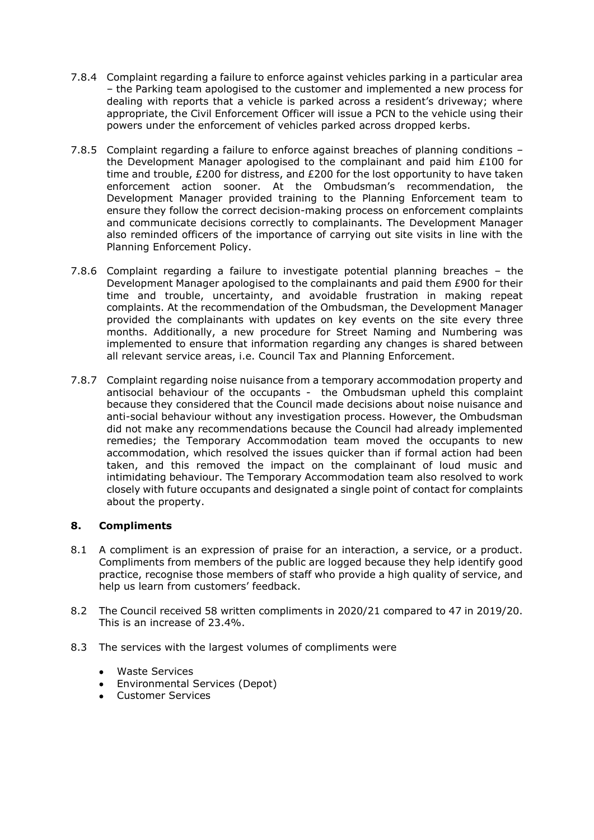- 7.8.4 Complaint regarding a failure to enforce against vehicles parking in a particular area – the Parking team apologised to the customer and implemented a new process for dealing with reports that a vehicle is parked across a resident's driveway; where appropriate, the Civil Enforcement Officer will issue a PCN to the vehicle using their powers under the enforcement of vehicles parked across dropped kerbs.
- 7.8.5 Complaint regarding a failure to enforce against breaches of planning conditions the Development Manager apologised to the complainant and paid him  $£100$  for time and trouble, £200 for distress, and £200 for the lost opportunity to have taken enforcement action sooner. At the Ombudsman's recommendation, the Development Manager provided training to the Planning Enforcement team to ensure they follow the correct decision-making process on enforcement complaints and communicate decisions correctly to complainants. The Development Manager also reminded officers of the importance of carrying out site visits in line with the Planning Enforcement Policy.
- 7.8.6 Complaint regarding a failure to investigate potential planning breaches the Development Manager apologised to the complainants and paid them £900 for their time and trouble, uncertainty, and avoidable frustration in making repeat complaints. At the recommendation of the Ombudsman, the Development Manager provided the complainants with updates on key events on the site every three months. Additionally, a new procedure for Street Naming and Numbering was implemented to ensure that information regarding any changes is shared between all relevant service areas, i.e. Council Tax and Planning Enforcement.
- 7.8.7 Complaint regarding noise nuisance from a temporary accommodation property and antisocial behaviour of the occupants - the Ombudsman upheld this complaint because they considered that the Council made decisions about noise nuisance and anti-social behaviour without any investigation process. However, the Ombudsman did not make any recommendations because the Council had already implemented remedies; the Temporary Accommodation team moved the occupants to new accommodation, which resolved the issues quicker than if formal action had been taken, and this removed the impact on the complainant of loud music and intimidating behaviour. The Temporary Accommodation team also resolved to work closely with future occupants and designated a single point of contact for complaints about the property.

### **8. Compliments**

- 8.1 A compliment is an expression of praise for an interaction, a service, or a product. Compliments from members of the public are logged because they help identify good practice, recognise those members of staff who provide a high quality of service, and help us learn from customers' feedback.
- 8.2 The Council received 58 written compliments in 2020/21 compared to 47 in 2019/20. This is an increase of 23.4%.
- 8.3 The services with the largest volumes of compliments were
	- Waste Services
	- Environmental Services (Depot)
	- Customer Services